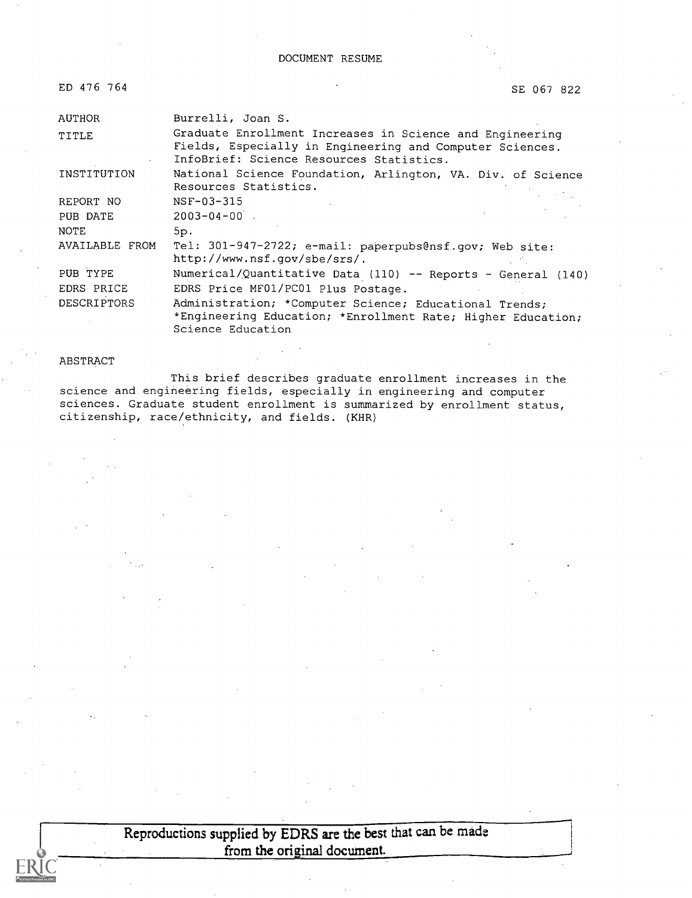| ED 476 764 |  |
|------------|--|
|            |  |

SE 067 822

| AUTHOR             | Burrelli, Joan S.                                                                                                                                                |  |
|--------------------|------------------------------------------------------------------------------------------------------------------------------------------------------------------|--|
| TITLE              | Graduate Enrollment Increases in Science and Engineering<br>Fields, Especially in Engineering and Computer Sciences.<br>InfoBrief: Science Resources Statistics. |  |
| INSTITUTION        | National Science Foundation, Arlington, VA. Div. of Science<br>Resources Statistics.                                                                             |  |
| REPORT NO          | NSF-03-315                                                                                                                                                       |  |
| PUB DATE           | $2003 - 04 - 00$ .                                                                                                                                               |  |
| <b>NOTE</b>        | 5p.                                                                                                                                                              |  |
| AVAILABLE FROM     | Tel: 301-947-2722; e-mail: paperpubs@nsf.gov; Web site:<br>http://www.nsf.gov/sbe/srs/.                                                                          |  |
| PUB TYPE           | Numerical/Quantitative Data (110) -- Reports - General (140)                                                                                                     |  |
| EDRS PRICE         | EDRS Price MF01/PC01 Plus Postage.                                                                                                                               |  |
| <b>DESCRIPTORS</b> | Administration; *Computer Science; Educational Trends;<br>*Engineering Education; *Enrollment Rate; Higher Education;<br>Science Education                       |  |

#### ABSTRACT

This brief describes graduate enrollment increases in the science and engineering fields, especially in engineering and computer sciences. Graduate student enrollment is summarized by enrollment status, citizenship, race/ethnicity, and fields. (KHR)

> Reproductions supplied by EDRS are the best that can be made from the original document.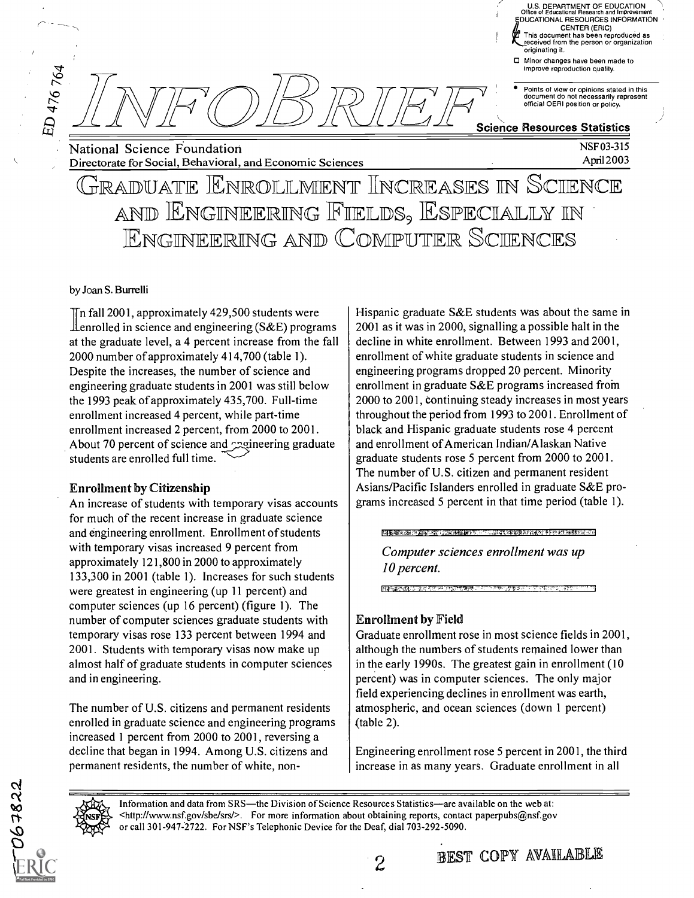Minor changes have been made to mprove reproduction quality.

U.S. DEPARTMENT OF EDUCATION Office of Educational Research and Improvement EDUCATIONAL RESOURCES INFORMATION CENTER (ERIC)

This document has been reproduced as received from the person or organization

NSF 03-315 Apri12003

Points of view or opinions stated in this document do not necessarily represent official OERI position or policy.

#### Science Resources Statistics

originating it.

National Science Foundation Directorate for Social, Behavioral, and Economic Sciences

### GRADUATE ENROLLMENT INCREASES IN SCIENCE AND ENGINEERING FIELDS, ESPECIALLY IN **ENGINEERING AND COMPUTER SCIENCES**

#### by Joan S. Burrelli

ED 476 764

 $\overline{\text{In}}$  fall 2001, approximately 429,500 students were  $\perp$  enrolled in science and engineering (S&E) programs at the graduate level, a 4 percent increase from the fall 2000 number of approximately 414,700 (table 1). Despite the increases, the number of science and engineering graduate students in 2001 was still below the 1993 peak of approximately 435,700. Full-time enrollment increased 4 percent, while part-time enrollment increased 2 percent, from 2000 to 2001. About 70 percent of science and examering graduate students are enrolled full time.

#### Enrollment by Citizenship

An increase of students with temporary visas accounts for much of the recent increase in graduate science and engineering enrollment. Enrollment of students with temporary visas increased 9 percent from approximately 121,800 in 2000 to approximately 133,300 in 2001 (table 1). Increases for such students were greatest in engineering (up 11 percent) and computer sciences (up 16 percent) (figure 1). The number of computer sciences graduate students with temporary visas rose 133 percent between 1994 and 2001. Students with temporary visas now make up almost half of graduate students in computer sciences and in engineering.

The number of U.S. citizens and permanent residents enrolled in graduate science and engineering programs increased 1 percent from 2000 to 2001, reversing a decline that began in 1994. Among U.S. citizens and permanent residents, the number of white, nonHispanic graduate S&E students was about the same in 2001 as it was in 2000, signalling a possible halt in the decline in white enrollment. Between 1993 and 2001, enrollment of white graduate students in science and engineering programs dropped 20 percent. Minority enrollment in graduate S&E programs increased from 2000 to 2001, continuing steady increases in most years throughout the period from 1993 to 2001. Enrollment of black and Hispanic graduate students rose 4 percent and enrollment of American Indian/Alaskan Native graduate students rose 5 percent from 2000 to 2001. The number of U.S. citizen and permanent resident Asians/Pacific Islanders enrolled in graduate S&E programs increased 5 percent in that time period (table 1).

#### **网络海洋学 医神经病 医肠下腺炎 医尿道性**

Computer sciences enrollment was up 10 percent.

#### Enrollment by Field

**BRACKASSAS** 

Graduate enrollment rose in most science fields in 2001, although the numbers of students remained lower than in the early 1990s. The greatest gain in enrollment (10 percent) was in computer sciences. The only major field experiencing declines in enrollment was earth, atmospheric, and ocean sciences (down 1 percent) (table 2).

Engineering enrollment rose 5 percent in 2001, the third increase in as many years. Graduate enrollment in all

**BEST COPY AVAILABLE** 

Information and data from SRS—the Division of Science Resources Statistics—are available on the web at: <http: / /www.nsf.gov /sbe /srs/ >. For more information about obtaining reports, contact paperpubs@nsf.gov or call 301-947-2722. For NSF's Telephonic Device for the Deaf, dial 703-292-5090.

267822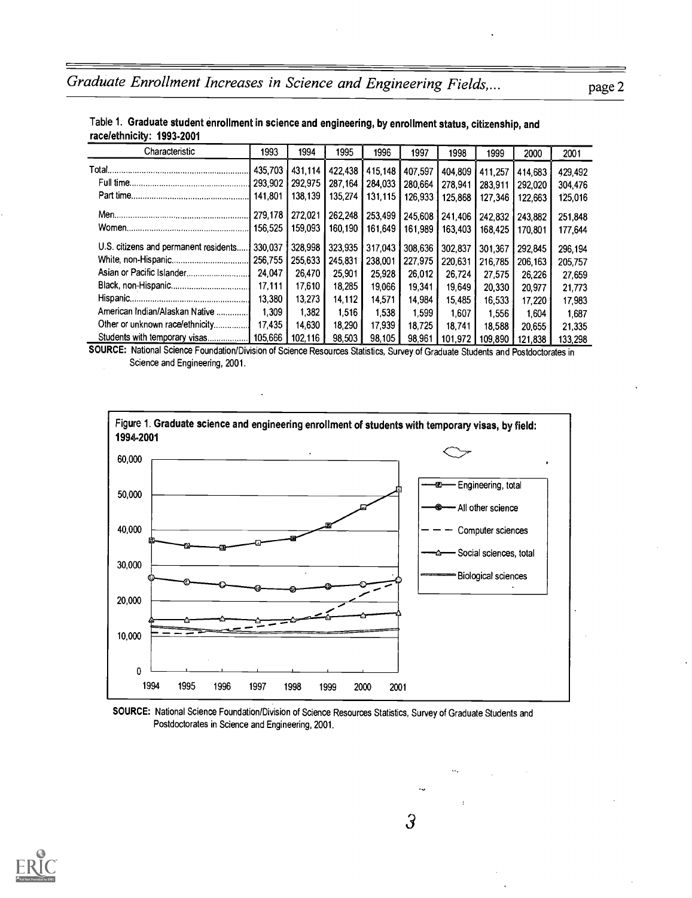| Characteristic                        | 1993    | 1994    | 1995    | 1996    | 1997    | 1998    | 1999    | 2000    | 2001    |
|---------------------------------------|---------|---------|---------|---------|---------|---------|---------|---------|---------|
|                                       | 435.703 | 431.114 | 422,438 | 415.148 | 407.597 | 404.809 | 411.257 | 414.683 | 429,492 |
|                                       | 293.902 | 292 975 | 287.164 | 284,033 | 280.664 | 278.941 | 283.911 | 292.020 | 304.476 |
|                                       | 141.801 | 138.139 | 135.274 | 131.115 | 126.933 | 125.868 | 127.346 | 122.663 | 125,016 |
|                                       | 279.178 | 272.021 | 262.248 | 253,499 | 245.608 | 241.406 | 242.832 | 243.882 | 251.848 |
|                                       | 156.525 | 159.093 | 160.190 | 161,649 | 161.989 | 163.403 | 168,425 | 170.801 | 177.644 |
| U.S. citizens and permanent residents | 330.037 | 328.998 | 323.935 | 317,043 | 308.636 | 302.837 | 301.367 | 292.845 | 296.194 |
|                                       | 256,755 | 255,633 | 245.831 | 238.001 | 227.975 | 220.631 | 216.785 | 206.163 | 205.757 |
| Asian or Pacific Islander             | 24.047  | 26.470  | 25.901  | 25,928  | 26,012  | 26.724  | 27.575  | 26,226  | 27,659  |
|                                       | 17.111  | 17.610  | 18,285  | 19.066  | 19,341  | 19,649  | 20,330  | 20,977  | 21,773  |
|                                       | 13,380  | 13.273  | 14.112  | 14.571  | 14.984  | 15.485  | 16.533  | 17,220  | 17,983  |
| American Indian/Alaskan Native        | 1,309   | 1,382   | 1.516   | 1.538   | 1.599   | 1.607   | 1,556   | 1.604   | 1.687   |
| Other or unknown race/ethnicity       | 17.435  | 14.630  | 18.290  | 17,939  | 18.725  | 18.741  | 18,588  | 20.655  | 21.335  |
| Students with temporary visas         | 105.666 | 102.116 | 98,503  | 98,105  | 98.961  | 101.972 | 109,890 | 121.838 | 133.298 |

#### Table 1. Graduate student enrollment in science and engineering, by enrollment status, citizenship, and racelethnicity: 1993-2001

SOURCE: National Science Foundation/Division of Science Resources Statistics, Survey of Graduate Students and Postdoctorates in Science and Engineering, 2001.



SOURCE: National Science Foundation/Division of Science Resources Statistics, Survey of Graduate Students and Postdoctorates in Science and Engineering, 2001.

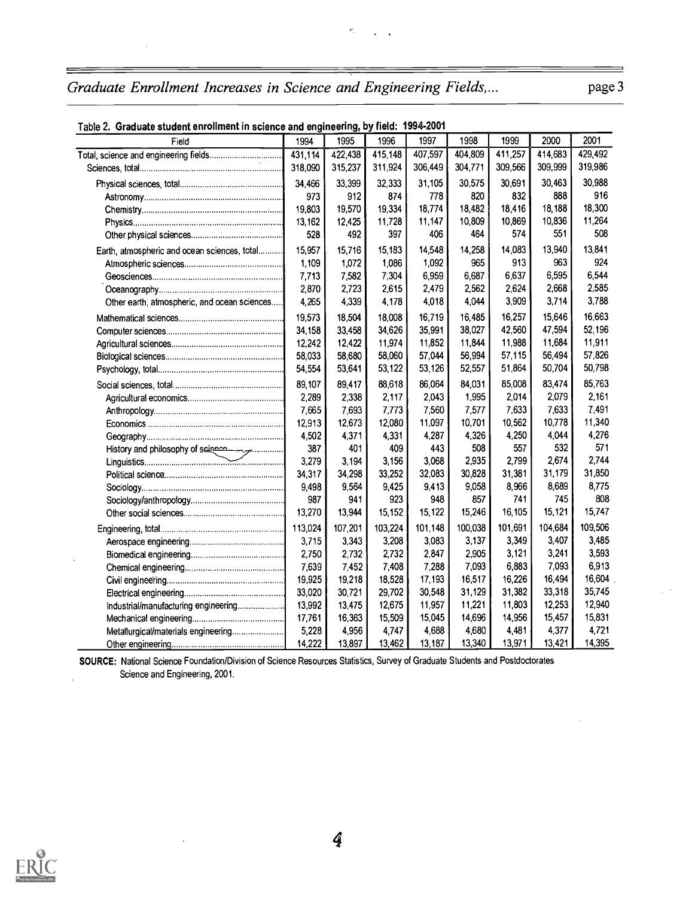| Table 2. Graduate student enrollment in science and engineering, by field: 1994-2001 |          |         |         |         |         |         |         |         |
|--------------------------------------------------------------------------------------|----------|---------|---------|---------|---------|---------|---------|---------|
| Field                                                                                | 1994     | 1995    | 1996    | 1997    | 1998    | 1999    | 2000    | 2001    |
| Total, science and engineering fields                                                | 431,114  | 422,438 | 415 148 | 407.597 | 404,809 | 411,257 | 414,683 | 429.492 |
|                                                                                      | 318,090  | 315,237 | 311 924 | 306,449 | 304,771 | 309,566 | 309,999 | 319,986 |
|                                                                                      | 34,466   | 33,399  | 32,333  | 31,105  | 30,575  | 30,691  | 30,463  | 30,988  |
|                                                                                      | 973      | 912     | 874     | 778     | 820     | 832     | 888     | 916     |
|                                                                                      | 19,803   | 19,570  | 19,334  | 18.774  | 18,482  | 18,416  | 18,188  | 18,300  |
|                                                                                      | 13,162   | 12,425  | 11,728  | 11,147  | 10,809  | 10,869  | 10,836  | 11,264  |
|                                                                                      | 528      | 492     | 397     | 406     | 464     | 574     | 551     | 508     |
| Earth, atmospheric and ocean sciences, total                                         | 15,957   | 15,716  | 15,183  | 14,548  | 14,258  | 14,083  | 13,940  | 13,841  |
|                                                                                      | 1,109    | 1,072   | 1,086   | 1,092   | 965     | 913     | 963     | 924     |
|                                                                                      | 7.713    | 7,582   | 7,304   | 6,959   | 6,687   | 6,637   | 6.595   | 6,544   |
|                                                                                      | 2.870    | 2,723   | 2,615   | 2,479   | 2,562   | 2,624   | 2,668   | 2,585   |
| Other earth, atmospheric, and ocean sciences                                         | 4,265    | 4,339   | 4,178   | 4,018   | 4.044   | 3,909   | 3.714   | 3,788   |
|                                                                                      | 19,573   | 18,504  | 18,008  | 16,719  | 16,485  | 16,257  | 15,646  | 16,663  |
|                                                                                      | 34,158   | 33,458  | 34,626  | 35,991  | 38,027  | 42,560  | 47,594  | 52.196  |
|                                                                                      | 12,242   | 12,422  | 11,974  | 11,852  | 11,844  | 11,988  | 11,684  | 11,911  |
|                                                                                      | 58,033   | 58,680  | 58,060  | 57,044  | 56,994  | 57,115  | 56,494  | 57,826  |
|                                                                                      | 54,554   | 53,641  | 53,122  | 53,126  | 52,557  | 51,864  | 50,704  | 50,798  |
|                                                                                      | 89,107   | 89,417  | 88,618  | 86,064  | 84,031  | 85,008  | 83,474  | 85,763  |
|                                                                                      | 2,289    | 2,338   | 2,117   | 2,043   | 1,995   | 2,014   | 2,079   | 2,161   |
|                                                                                      | 7,665    | 7,693   | 7,773   | 7,560   | 7,577   | 7,633   | 7,633   | 7,491   |
|                                                                                      | 12,913   | 12,673  | 12,080  | 11,097  | 10,701  | 10,562  | 10,778  | 11,340  |
|                                                                                      | 4,502    | 4,371   | 4,331   | 4,287   | 4,326   | 4,250   | 4,044   | 4,276   |
|                                                                                      | 387      | 401     | 409     | 443     | 508     | 557     | 532     | 571     |
| History and philosophy of science                                                    | 3,279    | 3,194   | 3,156   | 3,068   | 2,935   | 2,799   | 2,674   | 2,744   |
|                                                                                      | 34,317   | 34,298  | 33,252  | 32,083  | 30,828  | 31,381  | 31,179  | 31,850  |
|                                                                                      | 9.498    | 9,564   | 9,425   | 9,413   | 9.058   | 8,966   | 8,689   | 8,775   |
|                                                                                      | 987      | 941     | 923     | 948     | 857     | 741     | 745     | 808     |
|                                                                                      | 13,270   | 13,944  | 15,152  | 15,122  | 15,246  | 16,105  | 15,121  | 15,747  |
|                                                                                      | 113 0 24 | 107,201 | 103,224 | 101,148 | 100,038 | 101,691 | 104,684 | 109,506 |
|                                                                                      | 3,715    | 3,343   | 3,208   | 3,083   | 3,137   | 3,349   | 3,407   | 3,485   |
|                                                                                      | 2,750    | 2,732   | 2,732   | 2,847   | 2,905   | 3,121   | 3,241   | 3,593   |
|                                                                                      | 7,639    | 7,452   | 7,408   | 7,288   | 7,093   | 6,883   | 7,093   | 6,913   |
|                                                                                      | 19,925   | 19,218  | 18,528  | 17,193  | 16,517  | 16,226  | 16,494  | 16,604  |
|                                                                                      | 33,020   | 30,721  | 29,702  | 30,548  | 31,129  | 31,382  | 33,318  | 35,745  |
| Industrial/manufacturing engineering                                                 | 13,992   | 13,475  | 12,675  | 11,957  | 11,221  | 11,803  | 12,253  | 12,940  |
|                                                                                      | 17,761   | 16,363  | 15,509  | 15,045  | 14,696  | 14,956  | 15,457  | 15,831  |
| Metallurgical/materials engineering                                                  | 5,228    | 4,956   | 4,747   | 4,688   | 4,680   | 4,481   | 4,377   | 4,721   |
|                                                                                      | 14,222   | 13,897  | 13,462  | 13,187  | 13,340  | 13,971  | 13,421  | 14,395  |

 $\hat{\mathbf{r}}_1$ 

### Table 2. Graduate student enrollment in science and engineering, by field: 1994-2001

SOURCE: National Science Foundation/Division of Science Resources Statistics, Survey of Graduate Students and Postdoctorates Science and Engineering, 2001.



 $\overline{a}$ 

J.

 $\equiv$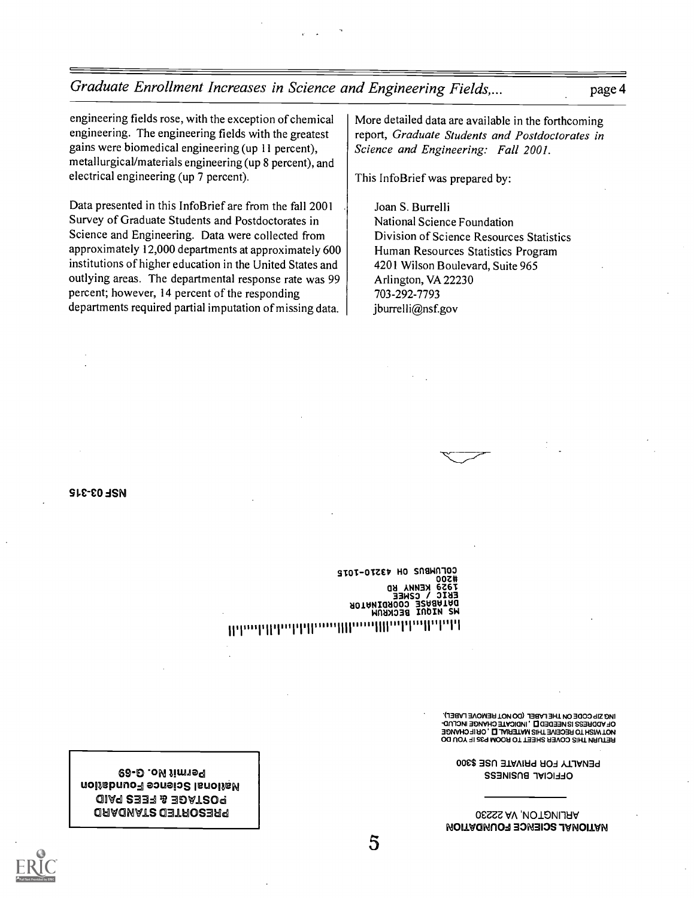Graduate Enrollment Increases in Science and Engineering Fields,...

page 4

engineering fields rose, with the exception of chemical engineering. The engineering fields with the greatest gains were biomedical engineering (up 11 percent), metallurgical/materials engineering (up 8 percent), and electrical engineering (up 7 percent).

Data presented in this InfoBrief are from the fall 2001 Survey of Graduate Students and Postdoctorates in Science and Engineering. Data were collected from approximately 12,000 departments at approximately 600 institutions of higher education in the United States and outlying areas. The departmental response rate was 99 percent; however, 14 percent of the responding departments required partial imputation of missing data.

More detailed data are available in the forthcoming report, Graduate Students and Postdoctorates in Science and Engineering: Fall 2001.

This InfoBrief was prepared by:

Joan S. Burrelli National Science Foundation Division of Science Resources Statistics Human Resources Statistics Program 4201 Wilson Boulevard, Suite 965 Arlington, VA 22230 703-292-7793 jburrelli@nsf.gov

**MSF 03-315** 

COLUMBUS OH 43210-1015 00Z# KENNA **KD** 6761 **CZWEĒ**  $2I<sub>M</sub>$ **JRIABASE** COORDINATOR **W2 MIONI BECKENN** The additional the continuous that the first of the

ING SID CODE ON LHE FVBEF (DO NOL HENNOVE FVBEF)<br>OL VDDHESS IS MEEDED D'IMDICYLE CHVMGE INCTOD-<br>MOLMISH LO HECEINE LHIS WYLEHVT D'I OHIL CHVMGE RETURN THIS COVER SHEET TO ROOM P35 IF YOU DO

OFFICIAL BUSINESS

PENALTY FOR PRIVATE USE \$300

ARLINGTON, VA 22230

**MOITIONAL SCIENCE FOUNDATION** 

୧**୫-**ର .o*N* Jim19។ **National Science Foundation** oiaq 2337 & 30at209 **ORAONATS OBTROSERS**